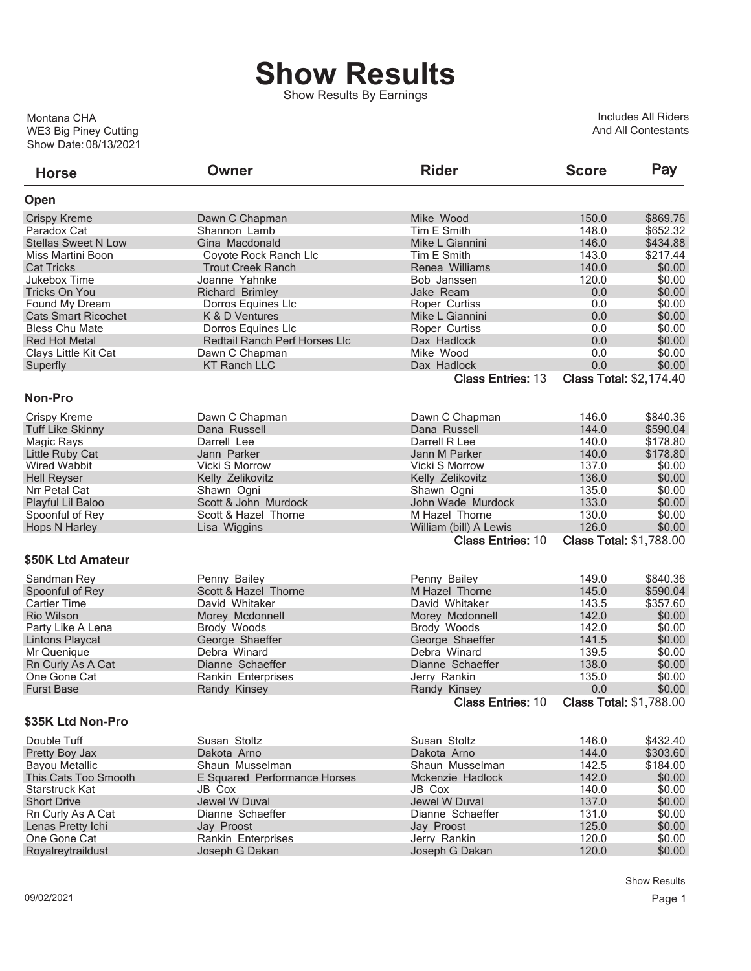## **Show Results**

Show Results By Earnings

Show Date: 08/13/2021 WE3 Big Piney Cutting Montana CHA

Includes All Riders And All Contestants

| <b>Horse</b>               | Owner                         | <b>Rider</b>                                       | <b>Score</b> | Pay                                      |
|----------------------------|-------------------------------|----------------------------------------------------|--------------|------------------------------------------|
| Open                       |                               |                                                    |              |                                          |
| <b>Crispy Kreme</b>        | Dawn C Chapman                | Mike Wood                                          | 150.0        | \$869.76                                 |
| Paradox Cat                | Shannon Lamb                  | Tim E Smith                                        | 148.0        | \$652.32                                 |
| <b>Stellas Sweet N Low</b> | Gina Macdonald                | Mike L Giannini                                    | 146.0        | \$434.88                                 |
| Miss Martini Boon          | Coyote Rock Ranch Llc         | Tim E Smith                                        | 143.0        | \$217.44                                 |
| <b>Cat Tricks</b>          | <b>Trout Creek Ranch</b>      | Renea Williams                                     | 140.0        | \$0.00                                   |
| Jukebox Time               | Joanne Yahnke                 | Bob Janssen                                        | 120.0        | \$0.00                                   |
| <b>Tricks On You</b>       | <b>Richard Brimley</b>        | Jake Ream                                          | 0.0          | \$0.00                                   |
| Found My Dream             | Dorros Equines Llc            | Roper Curtiss                                      | 0.0          | \$0.00                                   |
| <b>Cats Smart Ricochet</b> | K & D Ventures                | Mike L Giannini                                    | 0.0          | \$0.00                                   |
| <b>Bless Chu Mate</b>      | Dorros Equines Llc            | Roper Curtiss                                      | 0.0          | \$0.00                                   |
| <b>Red Hot Metal</b>       | Redtail Ranch Perf Horses Llc | Dax Hadlock                                        | 0.0          | \$0.00                                   |
| Clays Little Kit Cat       | Dawn C Chapman                | Mike Wood                                          | 0.0          | \$0.00                                   |
| Superfly                   | <b>KT Ranch LLC</b>           | Dax Hadlock                                        | 0.0          | \$0.00                                   |
|                            |                               | <b>Class Entries: 13</b>                           |              | <b>Class Total: \$2,174.40</b>           |
| Non-Pro                    |                               |                                                    |              |                                          |
| <b>Crispy Kreme</b>        |                               |                                                    | 146.0        | \$840.36                                 |
|                            | Dawn C Chapman                | Dawn C Chapman                                     | 144.0        | \$590.04                                 |
| <b>Tuff Like Skinny</b>    | Dana Russell                  | Dana Russell                                       |              |                                          |
| Magic Rays                 | Darrell Lee                   | Darrell R Lee                                      | 140.0        | \$178.80                                 |
| Little Ruby Cat            | Jann Parker                   | Jann M Parker                                      | 140.0        | \$178.80                                 |
| Wired Wabbit               | Vicki S Morrow                | Vicki S Morrow                                     | 137.0        | \$0.00                                   |
| <b>Hell Reyser</b>         | Kelly Zelikovitz              | Kelly Zelikovitz                                   | 136.0        | \$0.00                                   |
| Nrr Petal Cat              | Shawn Ogni                    | Shawn Ogni                                         | 135.0        | \$0.00                                   |
| Playful Lil Baloo          | Scott & John Murdock          | John Wade Murdock                                  | 133.0        | \$0.00                                   |
| Spoonful of Rey            | Scott & Hazel Thorne          | M Hazel Thorne                                     | 130.0        | \$0.00                                   |
| <b>Hops N Harley</b>       | Lisa Wiggins                  | William (bill) A Lewis<br><b>Class Entries: 10</b> | 126.0        | \$0.00<br><b>Class Total: \$1,788.00</b> |
| \$50K Ltd Amateur          |                               |                                                    |              |                                          |
|                            |                               |                                                    |              |                                          |
| Sandman Rey                | Penny Bailey                  | Penny Bailey                                       | 149.0        | \$840.36                                 |
| Spoonful of Rey            | Scott & Hazel Thorne          | M Hazel Thorne                                     | 145.0        | \$590.04                                 |
| <b>Cartier Time</b>        | David Whitaker                | David Whitaker                                     | 143.5        | \$357.60                                 |
| <b>Rio Wilson</b>          | Morey Mcdonnell               | Morey Mcdonnell                                    | 142.0        | \$0.00                                   |
| Party Like A Lena          | Brody Woods                   | Brody Woods                                        | 142.0        | \$0.00                                   |
| <b>Lintons Playcat</b>     | George Shaeffer               | George Shaeffer                                    | 141.5        | \$0.00                                   |
| Mr Quenique                | Debra Winard                  | Debra Winard                                       | 139.5        | \$0.00                                   |
| Rn Curly As A Cat          | Dianne Schaeffer              | Dianne Schaeffer                                   | 138.0        | \$0.00                                   |
| One Gone Cat               | Rankin Enterprises            | Jerry Rankin                                       | 135.0        | \$0.00                                   |
| <b>Furst Base</b>          | Randy Kinsey                  | Randy Kinsey                                       | 0.0          | \$0.00                                   |
|                            |                               | <b>Class Entries: 10</b>                           |              | <b>Class Total: \$1,788.00</b>           |
| \$35K Ltd Non-Pro          |                               |                                                    |              |                                          |
| Double Tuff                | Susan Stoltz                  | Susan Stoltz                                       | 146.0        | \$432.40                                 |
| Pretty Boy Jax             | Dakota Arno                   | Dakota Arno                                        | 144.0        | \$303.60                                 |
| <b>Bayou Metallic</b>      | Shaun Musselman               | Shaun Musselman                                    | 142.5        | \$184.00                                 |
| This Cats Too Smooth       | E Squared Performance Horses  | Mckenzie Hadlock                                   | 142.0        | \$0.00                                   |
| Starstruck Kat             | JB Cox                        | JB Cox                                             | 140.0        | \$0.00                                   |
| <b>Short Drive</b>         | Jewel W Duval                 | Jewel W Duval                                      | 137.0        | \$0.00                                   |
| Rn Curly As A Cat          | Dianne Schaeffer              | Dianne Schaeffer                                   | 131.0        | \$0.00                                   |
| Lenas Pretty Ichi          | Jay Proost                    | Jay Proost                                         | 125.0        | \$0.00                                   |
| One Gone Cat               | Rankin Enterprises            | Jerry Rankin                                       | 120.0        | \$0.00                                   |
| Royalreytraildust          | Joseph G Dakan                | Joseph G Dakan                                     | 120.0        | \$0.00                                   |
|                            |                               |                                                    |              |                                          |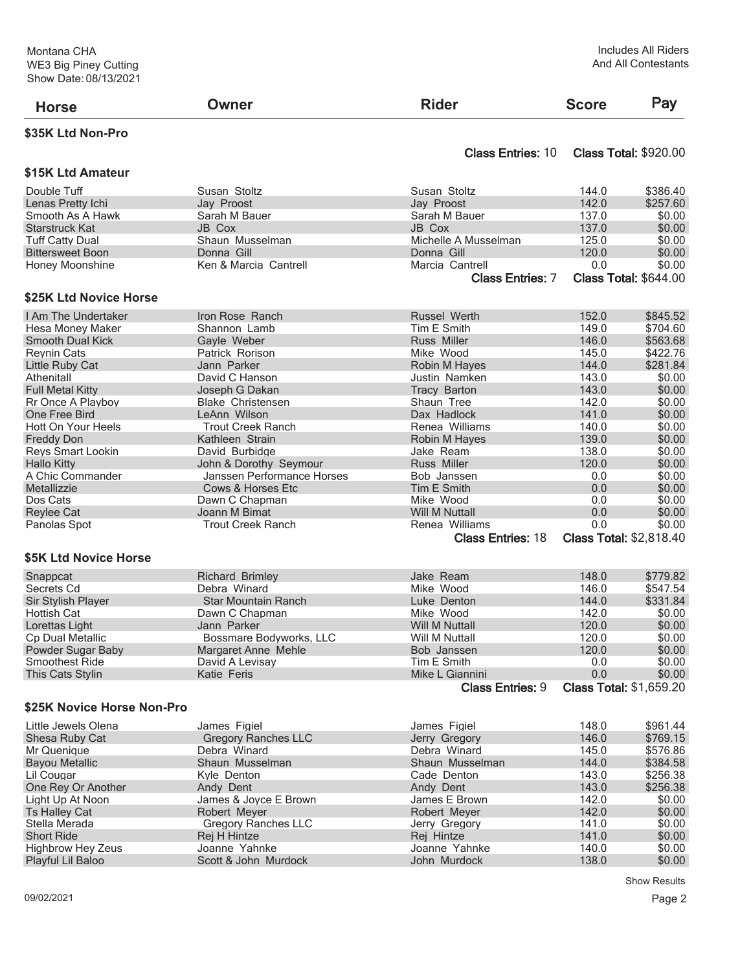| <b>Horse</b>                         | <b>Owner</b>               | <b>Rider</b>                               | <b>Score</b>   | Pay                                      |
|--------------------------------------|----------------------------|--------------------------------------------|----------------|------------------------------------------|
| \$35K Ltd Non-Pro                    |                            |                                            |                |                                          |
| \$15K Ltd Amateur                    |                            | <b>Class Entries: 10</b>                   |                | <b>Class Total: \$920.00</b>             |
| Double Tuff                          | Susan Stoltz               | Susan Stoltz                               | 144.0          | \$386.40                                 |
| Lenas Pretty Ichi                    | Jay Proost                 | Jay Proost                                 | 142.0          | \$257.60                                 |
| Smooth As A Hawk                     | Sarah M Bauer              | Sarah M Bauer                              | 137.0          | \$0.00                                   |
| <b>Starstruck Kat</b>                | JB Cox                     | JB Cox                                     | 137.0          | \$0.00                                   |
| <b>Tuff Catty Dual</b>               | Shaun Musselman            | Michelle A Musselman                       | 125.0          | \$0.00                                   |
| <b>Bittersweet Boon</b>              | Donna Gill                 | Donna Gill                                 | 120.0          | \$0.00                                   |
| Honey Moonshine                      | Ken & Marcia Cantrell      | Marcia Cantrell                            | 0.0            | \$0.00                                   |
|                                      |                            | <b>Class Entries: 7</b>                    |                | <b>Class Total: \$644.00</b>             |
| \$25K Ltd Novice Horse               |                            |                                            |                |                                          |
| I Am The Undertaker                  | Iron Rose Ranch            | <b>Russel Werth</b>                        | 152.0          | \$845.52                                 |
| Hesa Money Maker                     | Shannon Lamb               | Tim E Smith                                | 149.0          | \$704.60                                 |
| <b>Smooth Dual Kick</b>              | Gayle Weber                | Russ Miller                                | 146.0          | \$563.68                                 |
| <b>Reynin Cats</b>                   | Patrick Rorison            | Mike Wood                                  | 145.0          | \$422.76                                 |
| Little Ruby Cat                      | Jann Parker                | Robin M Hayes                              | 144.0          | \$281.84                                 |
| Athenitall                           | David C Hanson             | Justin Namken                              | 143.0          | \$0.00                                   |
| <b>Full Metal Kitty</b>              | Joseph G Dakan             | <b>Tracy Barton</b>                        | 143.0          | \$0.00                                   |
| Rr Once A Playboy                    | <b>Blake Christensen</b>   | Shaun Tree                                 | 142.0          | \$0.00                                   |
| One Free Bird                        | LeAnn Wilson               | Dax Hadlock                                | 141.0          | \$0.00                                   |
| Hott On Your Heels                   | <b>Trout Creek Ranch</b>   | Renea Williams                             | 140.0          | \$0.00                                   |
| <b>Freddy Don</b>                    | Kathleen Strain            | Robin M Hayes                              | 139.0          | \$0.00                                   |
| Reys Smart Lookin                    | David Burbidge             | Jake Ream                                  | 138.0          | \$0.00                                   |
| <b>Hallo Kitty</b>                   | John & Dorothy Seymour     | Russ Miller                                | 120.0          | \$0.00                                   |
| A Chic Commander                     | Janssen Performance Horses | Bob Janssen                                | 0.0            | \$0.00                                   |
| Metallizzie                          | Cows & Horses Etc          | Tim E Smith                                | 0.0            | \$0.00                                   |
| Dos Cats                             | Dawn C Chapman             | Mike Wood                                  | 0.0            | \$0.00                                   |
| <b>Reylee Cat</b>                    | Joann M Bimat              | Will M Nuttall                             | 0.0            | \$0.00                                   |
| Panolas Spot                         | <b>Trout Creek Ranch</b>   | Renea Williams                             | 0.0            | \$0.00                                   |
|                                      |                            | <b>Class Entries: 18</b>                   |                | <b>Class Total: \$2,818.40</b>           |
| \$5K Ltd Novice Horse                |                            |                                            |                |                                          |
| Snappcat                             | <b>Richard Brimley</b>     | Jake Ream                                  | 148.0          | \$779.82                                 |
| Secrets Cd                           | Debra Winard               | Mike Wood                                  | 146.0          | \$547.54                                 |
| Sir Stylish Player                   | Star Mountain Ranch        | Luke Denton                                | 144.0          | \$331.84                                 |
| Hottish Cat                          | Dawn C Chapman             | Mike Wood                                  | 142.0          | \$0.00                                   |
| Lorettas Light                       | Jann Parker                | <b>Will M Nuttall</b>                      | 120.0          | \$0.00                                   |
| Cp Dual Metallic                     | Bossmare Bodyworks, LLC    | Will M Nuttall                             | 120.0          | \$0.00                                   |
| Powder Sugar Baby                    | Margaret Anne Mehle        | Bob Janssen                                | 120.0          | \$0.00                                   |
| Smoothest Ride                       | David A Levisay            | Tim E Smith                                | 0.0            | \$0.00                                   |
| This Cats Stylin                     | Katie Feris                | Mike L Giannini<br><b>Class Entries: 9</b> | 0.0            | \$0.00<br><b>Class Total: \$1,659.20</b> |
| \$25K Novice Horse Non-Pro           |                            |                                            |                |                                          |
| Little Jewels Olena                  | James Figiel               | James Figiel                               | 148.0          | \$961.44                                 |
|                                      | <b>Gregory Ranches LLC</b> |                                            | 146.0          | \$769.15                                 |
| Shesa Ruby Cat                       | Debra Winard               | Jerry Gregory<br>Debra Winard              | 145.0          | \$576.86                                 |
| Mr Quenique<br><b>Bayou Metallic</b> | Shaun Musselman            | Shaun Musselman                            | 144.0          | \$384.58                                 |
| Lil Cougar                           | Kyle Denton                | Cade Denton                                | 143.0          | \$256.38                                 |
|                                      |                            |                                            |                |                                          |
| One Rey Or Another                   | Andy Dent                  | Andy Dent                                  | 143.0<br>142.0 | \$256.38                                 |
| Light Up At Noon                     | James & Joyce E Brown      | James E Brown                              |                | \$0.00                                   |
| <b>Ts Halley Cat</b>                 | Robert Meyer               | Robert Meyer                               | 142.0          | \$0.00                                   |
| Stella Merada<br><b>Short Ride</b>   | <b>Gregory Ranches LLC</b> | Jerry Gregory                              | 141.0<br>141.0 | \$0.00<br>\$0.00                         |
|                                      | Rej H Hintze               | Rej Hintze                                 | 140.0          | \$0.00                                   |
| <b>Highbrow Hey Zeus</b>             | Joanne Yahnke              | Joanne Yahnke                              |                |                                          |
| Playful Lil Baloo                    | Scott & John Murdock       | John Murdock                               | 138.0          | \$0.00                                   |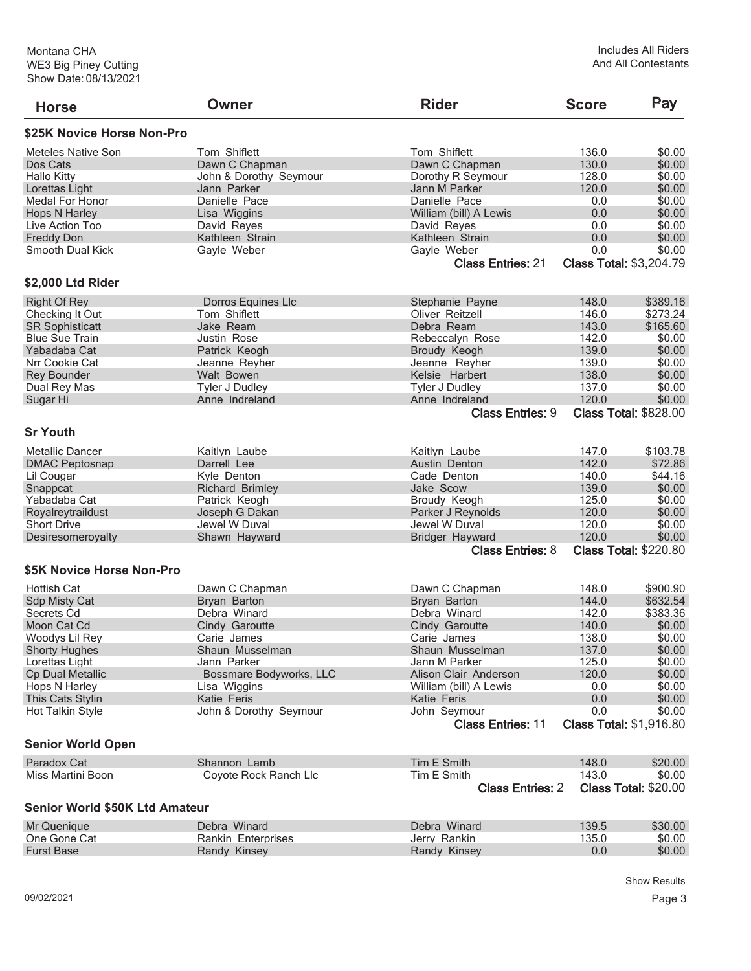| <b>Horse</b>                   | <b>Owner</b>            | <b>Rider</b>                 | <b>Score</b> | Pay                            |
|--------------------------------|-------------------------|------------------------------|--------------|--------------------------------|
| \$25K Novice Horse Non-Pro     |                         |                              |              |                                |
| Meteles Native Son             | Tom Shiflett            | Tom Shiflett                 | 136.0        | \$0.00                         |
| Dos Cats                       | Dawn C Chapman          | Dawn C Chapman               | 130.0        | \$0.00                         |
| <b>Hallo Kitty</b>             | John & Dorothy Seymour  | Dorothy R Seymour            | 128.0        | \$0.00                         |
| Lorettas Light                 | Jann Parker             | Jann M Parker                | 120.0        | \$0.00                         |
| <b>Medal For Honor</b>         | Danielle Pace           | Danielle Pace                | 0.0          | \$0.00                         |
| <b>Hops N Harley</b>           | Lisa Wiggins            | William (bill) A Lewis       | 0.0          | \$0.00                         |
| Live Action Too                | David Reyes             | David Reyes                  | 0.0          | \$0.00                         |
| <b>Freddy Don</b>              | Kathleen Strain         | Kathleen Strain              | 0.0          | \$0.00                         |
| Smooth Dual Kick               | Gayle Weber             | Gayle Weber                  | 0.0          | \$0.00                         |
|                                |                         | <b>Class Entries: 21</b>     |              | <b>Class Total: \$3,204.79</b> |
| \$2,000 Ltd Rider              |                         |                              |              |                                |
| <b>Right Of Rey</b>            | Dorros Equines LIc      | Stephanie Payne              | 148.0        | \$389.16                       |
| Checking It Out                | Tom Shiflett            | Oliver Reitzell              | 146.0        | \$273.24                       |
| <b>SR Sophisticatt</b>         | Jake Ream               | Debra Ream                   | 143.0        | \$165.60                       |
| <b>Blue Sue Train</b>          | Justin Rose             | Rebeccalyn Rose              | 142.0        | \$0.00                         |
| Yabadaba Cat                   | Patrick Keogh           | Broudy Keogh                 | 139.0        | \$0.00                         |
| Nrr Cookie Cat                 | Jeanne Reyher           | Jeanne Reyher                | 139.0        | \$0.00                         |
| <b>Rey Bounder</b>             | Walt Bowen              | Kelsie Harbert               | 138.0        | \$0.00                         |
| Dual Rey Mas                   | <b>Tyler J Dudley</b>   | <b>Tyler J Dudley</b>        | 137.0        | \$0.00                         |
|                                | Anne Indreland          | Anne Indreland               | 120.0        | \$0.00                         |
| Sugar Hi                       |                         | <b>Class Entries: 9</b>      |              | <b>Class Total: \$828.00</b>   |
|                                |                         |                              |              |                                |
| <b>Sr Youth</b>                |                         |                              |              |                                |
| <b>Metallic Dancer</b>         | Kaitlyn Laube           | Kaitlyn Laube                | 147.0        | \$103.78                       |
| <b>DMAC Peptosnap</b>          | Darrell Lee             | Austin Denton                | 142.0        | \$72.86                        |
| Lil Cougar                     | Kyle Denton             | Cade Denton                  | 140.0        | \$44.16                        |
| Snappcat                       | <b>Richard Brimley</b>  | Jake Scow                    | 139.0        | \$0.00                         |
| Yabadaba Cat                   | Patrick Keogh           | Broudy Keogh                 | 125.0        | \$0.00                         |
| Royalreytraildust              | Joseph G Dakan          | Parker J Reynolds            | 120.0        | \$0.00                         |
| <b>Short Drive</b>             | Jewel W Duval           | Jewel W Duval                | 120.0        | \$0.00                         |
|                                | Shawn Hayward           | <b>Bridger Hayward</b>       | 120.0        | \$0.00                         |
| Desiresomeroyalty              |                         | <b>Class Entries: 8</b>      |              | <b>Class Total: \$220.80</b>   |
| \$5K Novice Horse Non-Pro      |                         |                              |              |                                |
|                                |                         |                              |              |                                |
| <b>Hottish Cat</b>             | Dawn C Chapman          | Dawn C Chapman               | 148.0        | \$900.90                       |
| <b>Sdp Misty Cat</b>           | Bryan Barton            | Bryan Barton                 | 144.0        | \$632.54                       |
| Secrets Cd                     | Debra Winard            | Debra Winard                 | 142.0        | \$383.36                       |
| Moon Cat Cd                    | Cindy Garoutte          | Cindy Garoutte               | 140.0        | \$0.00                         |
| Woodys Lil Rey                 | Carie James             | Carie James                  | 138.0        | \$0.00                         |
| <b>Shorty Hughes</b>           | Shaun Musselman         | Shaun Musselman              | 137.0        | \$0.00                         |
| Lorettas Light                 | Jann Parker             | Jann M Parker                | 125.0        | \$0.00                         |
| <b>Cp Dual Metallic</b>        | Bossmare Bodyworks, LLC | <b>Alison Clair Anderson</b> | 120.0        | \$0.00                         |
| Hops N Harley                  | Lisa Wiggins            | William (bill) A Lewis       | 0.0          | \$0.00                         |
| This Cats Stylin               | Katie Feris             | Katie Feris                  | 0.0          | \$0.00                         |
| Hot Talkin Style               | John & Dorothy Seymour  | John Seymour                 | 0.0          | \$0.00                         |
|                                |                         | <b>Class Entries: 11</b>     |              | <b>Class Total: \$1,916.80</b> |
| <b>Senior World Open</b>       |                         |                              |              |                                |
| Paradox Cat                    | Shannon Lamb            | Tim E Smith                  | 148.0        | \$20.00                        |
| Miss Martini Boon              | Coyote Rock Ranch Llc   | Tim E Smith                  | 143.0        | \$0.00                         |
|                                |                         | <b>Class Entries: 2</b>      |              | <b>Class Total: \$20.00</b>    |
| Senior World \$50K Ltd Amateur |                         |                              |              |                                |
| Mr Quenique                    | Debra Winard            | Debra Winard                 | 139.5        | \$30.00                        |
| One Gone Cat                   | Rankin Enterprises      | Jerry Rankin                 | 135.0        | \$0.00                         |
| <b>Furst Base</b>              | Randy Kinsey            | Randy Kinsey                 | 0.0          | \$0.00                         |